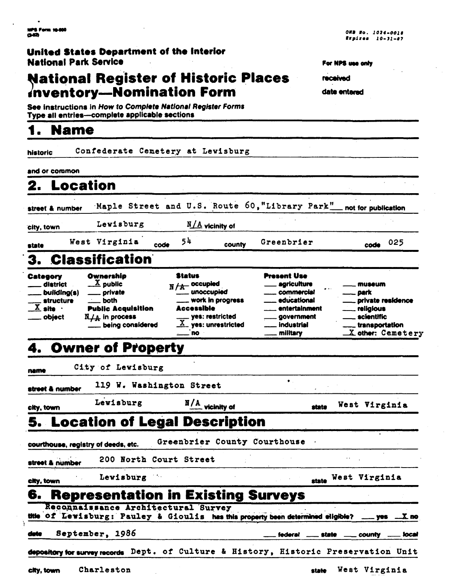## United States Department of the interior **National Park Service**

## **National Register of Historic Places** inventory-Nomination Form

See instructions in How to Complete National Register Forms Type all entries-complete applicable sections

#### $\blacktriangleleft$ **Name**

| ristoric                                                                                       |                                                                                                                                               | Confederate Cemetery at Lewisburg                                                                                                            |                                                                                                                           |                                                                                                                                 |
|------------------------------------------------------------------------------------------------|-----------------------------------------------------------------------------------------------------------------------------------------------|----------------------------------------------------------------------------------------------------------------------------------------------|---------------------------------------------------------------------------------------------------------------------------|---------------------------------------------------------------------------------------------------------------------------------|
| and or common                                                                                  |                                                                                                                                               |                                                                                                                                              |                                                                                                                           |                                                                                                                                 |
| <b>Location</b><br>2.                                                                          |                                                                                                                                               |                                                                                                                                              |                                                                                                                           |                                                                                                                                 |
| street & number                                                                                |                                                                                                                                               | Maple Street and U.S. Route 60, "Library Park"                                                                                               |                                                                                                                           | not for publication                                                                                                             |
| sity, town                                                                                     | Lewisburg                                                                                                                                     | $N/A$ vicinity of                                                                                                                            |                                                                                                                           |                                                                                                                                 |
| state                                                                                          | West Virginia                                                                                                                                 | 54<br>code<br>county                                                                                                                         | Greenbrier                                                                                                                | 025<br>code                                                                                                                     |
|                                                                                                | 3. Classification                                                                                                                             |                                                                                                                                              |                                                                                                                           |                                                                                                                                 |
| Category<br>district<br>__ building(s)<br>_ structure<br>$\overline{X}$ site $\cdot$<br>object | Ownership<br>$\underline{X}$ public<br>private<br><b>both</b><br><b>Public Acquisition</b><br>$N_{\perp\perp}$ in process<br>being considered | Status<br>$N/A$ occupied<br>work in progress<br>Accessible<br><sub>—</sub> yes: restricted<br>$\underline{X}$ yes: unrestricted<br><b>RO</b> | <b>Present Use</b><br>agriculture<br>commercial<br>educational<br>entertainment<br>_ government<br>industrial<br>military | museum<br>_ park<br>_ private residence<br><u>__</u> _ religious<br><u>__</u> scientific<br>transportation<br>X other: Cemetery |
|                                                                                                | 4. Owner of Property                                                                                                                          |                                                                                                                                              |                                                                                                                           |                                                                                                                                 |
|                                                                                                | City of Lewisburg                                                                                                                             |                                                                                                                                              |                                                                                                                           |                                                                                                                                 |
| name<br>street & number                                                                        | 119 W. Washington Street                                                                                                                      |                                                                                                                                              | $\bullet$ .                                                                                                               |                                                                                                                                 |
| city, town                                                                                     | Lewisburg                                                                                                                                     | $\frac{N}{A}$ vicinity of                                                                                                                    | state                                                                                                                     | West Virginia                                                                                                                   |
|                                                                                                |                                                                                                                                               | 5.  Location of Legal Description                                                                                                            |                                                                                                                           |                                                                                                                                 |
| courthouse, registry of deeds, etc.                                                            |                                                                                                                                               | Greenbrier County Courthouse                                                                                                                 |                                                                                                                           |                                                                                                                                 |
| street & number                                                                                | 200 North Court Street                                                                                                                        |                                                                                                                                              |                                                                                                                           |                                                                                                                                 |
| city, town                                                                                     | Lewisburg                                                                                                                                     |                                                                                                                                              |                                                                                                                           | state West Virginia                                                                                                             |
| 6.                                                                                             |                                                                                                                                               | <b>Representation in Existing Surveys</b>                                                                                                    |                                                                                                                           |                                                                                                                                 |
| atti                                                                                           |                                                                                                                                               | Reconnaissance Architectural Survey<br>of Lewisburg: Pauley & Gioulis has this property been determined eligible?                            |                                                                                                                           | Х DO<br><b>yes</b> –                                                                                                            |
| date                                                                                           | September, 1986                                                                                                                               |                                                                                                                                              | federal ____ state __                                                                                                     | _ county<br>local                                                                                                               |
|                                                                                                |                                                                                                                                               | depository for survey records Dept. of Culture & History, Historic Preservation Unit                                                         |                                                                                                                           |                                                                                                                                 |

For NPS use only

received

date entered

Charleston city, town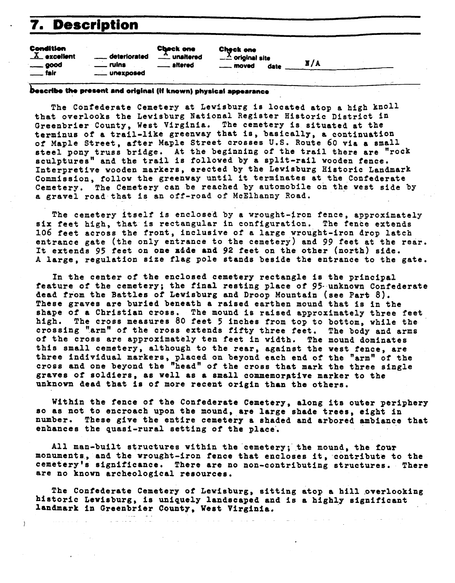# 7. Description

| Condition<br>$X$ excellent<br>$\equiv$ good<br>. fair | deteriorated<br>ruins<br>. unexposed | <b>Check one</b><br>. unaltered<br>. altered | Check one<br>$-\frac{\Lambda}{\Lambda}$ original site<br><u>__</u> _ moved<br>date | X/A |  |
|-------------------------------------------------------|--------------------------------------|----------------------------------------------|------------------------------------------------------------------------------------|-----|--|
|                                                       |                                      |                                              |                                                                                    |     |  |

### Describe the present and original (if known) physical appearance

The Confederate Cemetery at Lewisburg is located atop a high knoll that overlooks the Lewisburg National Register Historic District in Greenbrier County, West Virginia. The cemetery is situated at the terminus of a trail-like greenway that is, basically, a continuation of Maple Street, after Maple Street crosses U.S. Route **60** via a small steel pony truss bridge. At the beginning of the trail there are "rock sculptures" and the trail is followed **by** a split-rail wooden fence. Interpretive wooden markers, erected by the Lewisburg Historic Landmark Commission, follow the greenway until it terminates at the Confederate Cemetery. The Cemetery can be reached by automobile on the west side by a gravel road that is an off-road of McElhanny Road.

The cemetery itself is enclosed by a wrought-tron fence, approximately six feet high, that is rectangular in configuration. **The** fence extends **1.06** feet across the front, inclusive of a large wrought-iron drop latch entrance gate (the only entrance to the cemetery) and 99 feet at the rear. It extends 95 feet on one adde and 92 feet on the other (north) side. **A** large, regulation size flag pole stands beside the entrance to the gate.

In the center of the enclosed cemetery rectangle is the principal feature of the cemetery; the final resting place of 95- unknown Confederate dead from the Battles of Lewisburg and Droop Mountain (see Part 8). These graves are buried beneath a raised earthen mound that is in the shape of a Christian cross. The mound is raised approximately three feet high. The cross measures 80 feet 5 inches from top to bottom, while the crossing "arm" of the cross extends fifty three feet. The body and arms of the cross are approximately ten feet in width. The mound dominates this small cemetery, although to the rear, against the west fence, are three individual markers, placed on beyond each end of the "arm" of the cross and one beyond the "head" of the cross that mark the three single graves of soldiers, as well as a small commemorgtive marker to the unknown dead that is of more recent origin than the others.

Within the fence of the Confederate Cemetery, along its outer periphery so as not to encroach upon the mound, are large shade trees, eight in number. These give the entire cemetery **s** shaded and arbored ambiance that enhances the quasi-rural setting of the place.

All man-built structures within the cemetery; the mound, the **four**  monuments, and the wrought-iron fence that encloses it, contribute to the cemetery's significance. There are no non-contributing structures. There are no known archeological resources.

The Confederate Cemetery of Lewisburg, sitting atop a hill overlooking historic Lewisburg, is uniquely landscaped and is a highly significant landmark in Greenbrier County, West Virginia.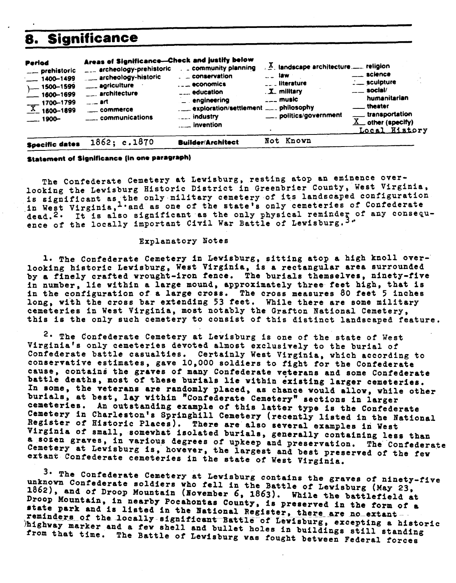## **8. Significance**

| Areas of Significance-Check and justify below<br>Period<br>$\mathbb{R}$ and scape architecture  religion<br>. . community planning<br>---- archeology-prehistoric<br>__ prehistoric<br>$\overline{\phantom{a}}$ science<br>$\sim$ $\sim$ 1aw $\sim$<br>$\blacksquare$ conservation<br>archeology-historic<br>$-1400 - 1499$<br>$\frac{1}{2}$ sculpture<br><b>Lease literature</b><br>$\ldots$ economics<br>____ agriculture<br>$L = 1500 - 1599$<br>$\frac{1}{2}$ social/<br>. X military<br>$\overline{\phantom{a}}$ education<br>$\overline{\phantom{a}}$ architecture<br>$\frac{1}{2}$ 1600-1699<br>humanitarian<br>$---$ music<br>_ engineering<br>$\overline{\phantom{a}}$ art<br>$\frac{1700 - 1799}{0.2}$ 1800-1899<br>____ theater<br>exploration/settlement  philosophy<br>____ transportation<br>___ politics/government<br>industry<br>_____ communications<br>$-1900-$<br>$\underline{X}$ other (specify)<br><u>se invention</u><br>Not Known<br><b>Builder/Architect</b> | 8.                    | <b>Significance</b> |  |               |
|---------------------------------------------------------------------------------------------------------------------------------------------------------------------------------------------------------------------------------------------------------------------------------------------------------------------------------------------------------------------------------------------------------------------------------------------------------------------------------------------------------------------------------------------------------------------------------------------------------------------------------------------------------------------------------------------------------------------------------------------------------------------------------------------------------------------------------------------------------------------------------------------------------------------------------------------------------------------------------------|-----------------------|---------------------|--|---------------|
|                                                                                                                                                                                                                                                                                                                                                                                                                                                                                                                                                                                                                                                                                                                                                                                                                                                                                                                                                                                       |                       |                     |  | Local History |
|                                                                                                                                                                                                                                                                                                                                                                                                                                                                                                                                                                                                                                                                                                                                                                                                                                                                                                                                                                                       | <b>Specific dates</b> | 1862; c.1870        |  |               |

### **Statement of Significance (in one paragraph)**

The Confederate Cemetery at Lewisburg, resting atop an eminence overlooking the Lewisburg Historic District in Greenbrier County, West Virginia, is significant as the only military cemetery of its landscaped configuration in West Virginia,<sup>1</sup> and as one of the state's only cemeteries of Confederate dead.<sup>2.</sup> It is also significant as the only physical reminder of any consequence of the locally important Civil War Battle of Lewisburg.<sup>3.</sup>

#### Explanatory Notes

**1.** The Confederate Cemetery in Lewisburg, sitting atop a high knoll overlooking historic Lewisburg, West Virginia, is a rectangular area surrounded by a finely crafted wrought-iron fence. The burials themselves, ninety-five in number, lie within a large mound, approximately three feet high, that is in the configuration of a large cross. The cross measures **80** feet 5 inches long, with the cross bar extending 53 feet, While there are some military cemeteries in West Virginia, most notably the Grafton National Cemetery, this is the only such cemetery to consist of this distinct landscaped feature.

**2-** The Confederate Cemetery at Lewisburg is one of the state of West Virginia's only cemeteries devoted almost exclusively to the burial of Confederate battle casualties. Certainly West Virginia, which according to conservative estlmates, gave 10,000 soldiers to fight for the Confederate cause, contains the graves of many Confederate veterans and some Confederate battle deaths, most of these burials lie within existing larger cemeteries. In some, the veterans are randomly placed, as chance would allow, while other burials, at best, **lay** within "confederate Cemetery" sections in larger cemeteries. An outstanding example of this latter type is the Confederate Cemetery in Charleston's Springhill Cemetery (recently listed in the National Register of Historic Places). There are also several examples in West Virghia of small, somewhat isolated burials, generally containing less than a sozen graves, in various degrees of upkeep and preservation. The Confederate Cemetery at Lewisburg is, hovever, the largest and best preserved of the few extant Confederate cemeteries in the state of West Virginia.

3. The Confederate Cemetery at Lewisburg contains the graves of ninety-five unknown Confederate soldiers who fell in the Battle of Lewisburg (May 23, 1862), and of Droop Mountain (November 6, 1863). While the battlefield at Droop Mountain, in nearby Pocahontas County, is preserved in the form of a itate park and is listed in the Bational Register, there are no extant - and is listed in the Bational Register, there are no extant - -<br>"eminders of the locally significant Battle of Lewisburg, excepting a historic )highway marker and a **few** shell and bullet holes in buildings still standing **from** that time. The Battle of Lewisburg was fought between Federal forces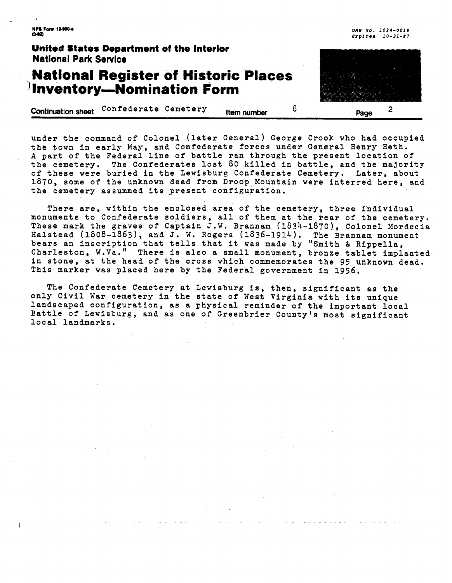**NPS Form 10-900-4**  $0.12$ 

## **United States Department of the Interior National Park Service**

## **National Register of Historic Places Inventory-Nomination Form**

**2** 

**Continuationsheet** 'Onfederate Cemetery **Itemnumber** 8 **page** 

under the command of Colonel (later General) George Crook who had occupied the town in early May, and Confederate forces under General Henry Heth. **A** part of the Federal line of battle ran through the present location of the cemetery. The Confederates lost 80 killed in battle, and the majority of these were buried in the Lewisburg Confederate Cemetery. Later, about 1870, some of the unknown dead from Droop Mountain were interred here, and the cemetery assunmed its present configuration.

There are, within the enclosed area of the cemetery, three individual monuments to Confederate soldiers, all of them at the rear of the cemetery. These mark the graves of captain J.W. Brannan (1834-1870), Colonel Mordecia Halstead (1808-1863), and J. W. Rogers (1836-1914). The Brannam monument bears an inscription that tells that it was made by "Smith & Rippella, Charleston, W.Va." There is also a small monument, bronze tablet implanted in stone, at the head of the cross which commemorates the 95 unknown dead. This marker was placed here by the Federal government in 1956.

The Confederate Cemetery at Lewisburg is, then, significant as the only Civil War cemetery in the state of West Virginia with its unique landscaped configuration, as a physical reminder of the important local Battle of Lewisburg, and as one of Greenbrier County's most significant local landmarks.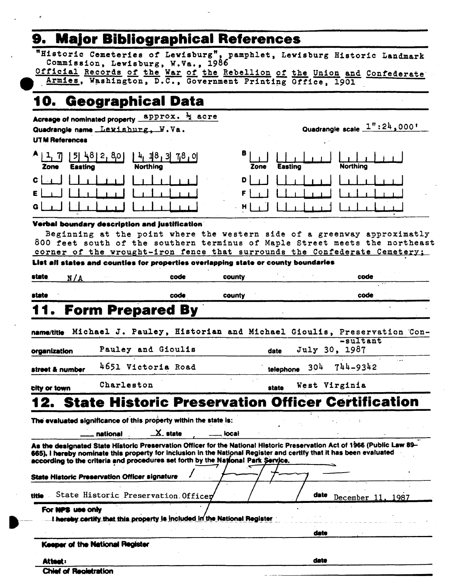# 9. Major Bibliographical References

"Historic Cemeteries of Lewisburg", pamphlet, Lewisburg Historic Landmark Commission, Lewisburg, W.Va., 1986

Official Records of the War of the Rebellion of the Union and Confederate Armies, Washington, D.C., Government Printing Office, 1901

Quadrangle scale 1":24,000+

#### 10. **Geographical Data**

Acreage of nominated property **approx.**  $\frac{1}{2}$  acre

Quadrangle name Lewishurg, W.Va.

**UTM References** 

| $A_{11}$<br>- 71<br>Zone | 481<br>51<br>80 l<br>2 <sub>1</sub><br>Easting | 7,8,0<br>ш<br><b>Northing</b> | B 1<br>Zone | <b>Easting</b> | <b>Northing</b> |
|--------------------------|------------------------------------------------|-------------------------------|-------------|----------------|-----------------|
| $c_{\perp}$              |                                                |                               | D           |                |                 |
| $E \perp$                |                                                |                               |             |                |                 |
| $\mathbf{G}$             | $\overline{\phantom{a}}$                       | $\sim$                        |             |                |                 |

### Verbal boundary description and justification

Beginning at the point where the western side of a greenway approximatly 800 feet south of the southern terminus of Maple Street meets the northeast corner of the wrought-iron fence that surrounds the Confederate Cemetery;

|                              | List all states and counties for properties overlapping state or county boundaries                                                                                                                                                                                                                                                  |        |           |               |                   |  |
|------------------------------|-------------------------------------------------------------------------------------------------------------------------------------------------------------------------------------------------------------------------------------------------------------------------------------------------------------------------------------|--------|-----------|---------------|-------------------|--|
| state<br>N/A                 | code                                                                                                                                                                                                                                                                                                                                | county |           |               | code              |  |
| state                        | code                                                                                                                                                                                                                                                                                                                                | county |           |               | code              |  |
|                              | <b>Form Prepared By</b>                                                                                                                                                                                                                                                                                                             |        |           |               |                   |  |
| name/title                   | Michael J. Pauley, Historian and Michael Gioulis, Preservation Con-                                                                                                                                                                                                                                                                 |        |           |               |                   |  |
| organization                 | Pauley and Gioulis                                                                                                                                                                                                                                                                                                                  |        | date      | July 30, 1987 | -sultant          |  |
| street & number              | 4651 Victoria Road                                                                                                                                                                                                                                                                                                                  |        | telephone | 304           | 744-9342          |  |
| city or town                 | Charleston                                                                                                                                                                                                                                                                                                                          |        | state     | West Virginia |                   |  |
|                              | 12. State Historic Preservation Officer Certification                                                                                                                                                                                                                                                                               |        |           |               |                   |  |
|                              | The evaluated significance of this property within the state is:<br>$\mathbf{X}$ state<br>national                                                                                                                                                                                                                                  | local  |           |               |                   |  |
|                              | As the designated State Historic Preservation Officer for the National Historic Preservation Act of 1966 (Public Law 89-<br>665), I hereby nominate this property for inclusion in the National Register and certify that it has been evaluated<br>according to the criteria and procedures set forth by the National Park Service. |        |           |               |                   |  |
|                              | <b>State Historic Preservation Officer signature</b>                                                                                                                                                                                                                                                                                |        |           |               |                   |  |
| title                        | State Historic Preservation. Officer                                                                                                                                                                                                                                                                                                |        |           | date          | December 11, 1987 |  |
| For NPS use only             | I hereby certify that this property is included in the National Register                                                                                                                                                                                                                                                            |        |           |               |                   |  |
|                              |                                                                                                                                                                                                                                                                                                                                     |        |           | date          |                   |  |
|                              | Keeper of the National Register                                                                                                                                                                                                                                                                                                     |        |           |               |                   |  |
| Attest:                      |                                                                                                                                                                                                                                                                                                                                     |        |           | date          |                   |  |
| <b>Chief of Registration</b> |                                                                                                                                                                                                                                                                                                                                     |        |           |               |                   |  |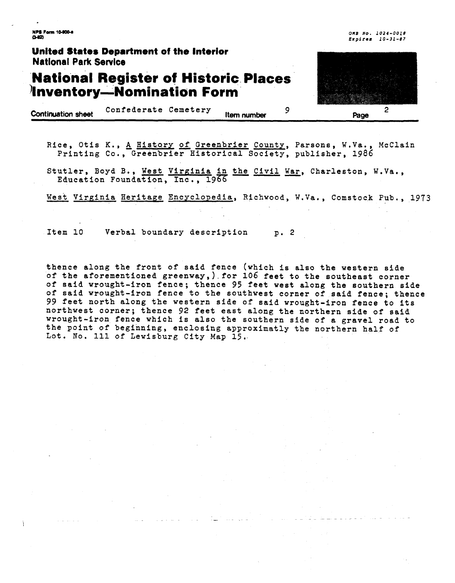**NPS Form 10-900-6**  $0-12$ 

**OMB No. 1074-0018 Expfter 10-31-87** 

### **United States Department of the Interior National Park Sewice**

## **National Register of Historic Places Inventory-Nomination Form**

| 2                 |  |
|-------------------|--|
| ö<br>m<br>ین<br>е |  |

**Confederate Cemetery Item number** 9 **Page** 

Rice, Otis K., <u>A History of Greenbrier County</u>, Parsons, W.Va., McClain Printing Co., Greenbrier Historical Society, publisher, 1986<br>Stutler, Boyd B., <u>West Virginia in the Civil War</u>, Charleston, W.Va.,<br>Education Foundat Printing Co., Greenbrier Historical Society, publisher, 1986

Stutler, Boyd B., <u>West Virginia in the Civil War</u>, Charleston, W.Va., Education Foundation, Inc., 1966

Item 10 Verbal boundary description p. 2

thence along the front of said fence (which is also the western side of the aforementioned greenway,).for 106 feet to the southeast corner of said wrought-iron fence; thence **95** feet west along the southern side of said wrought-iron fence to the southwest corner of said fence; thence 99 feet north along the western side of said wrought-iron fence to its northwest corner; thence 92 feet east along the northern side of said wrought-iron fence which is also the southern side of a gravel road to the point of beginning, enclosing approximatly the northern half of Lot. No. 111 of Lewisburg City Map 15,-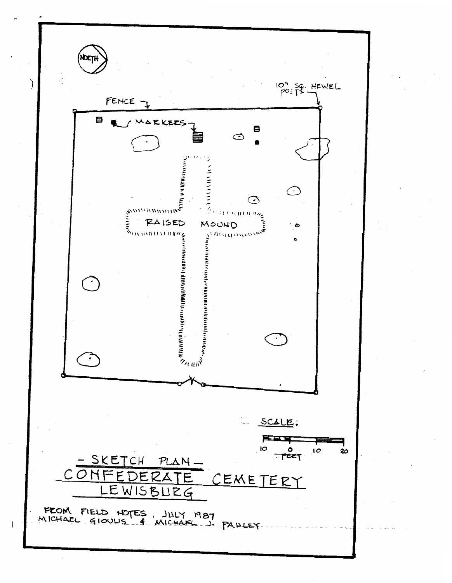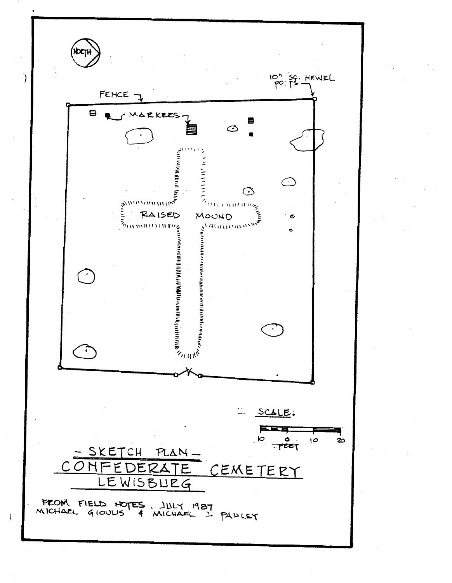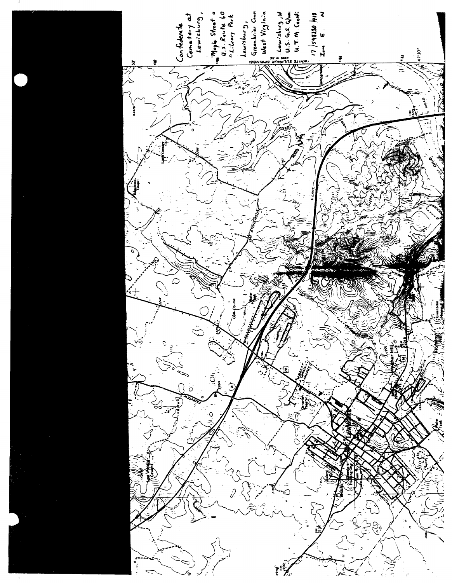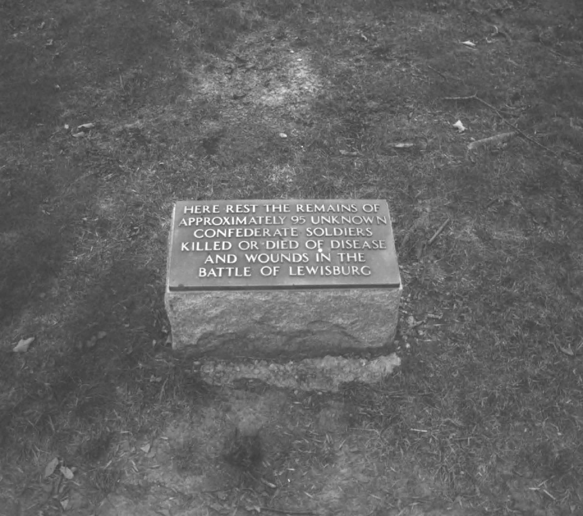HERE REST THE REMAINS OF **CONFEDERATE SOLDIERS** KILLED OR DIED OF DISEASE AND WOUNDS IN THE BATTLE OF LEWISBURG